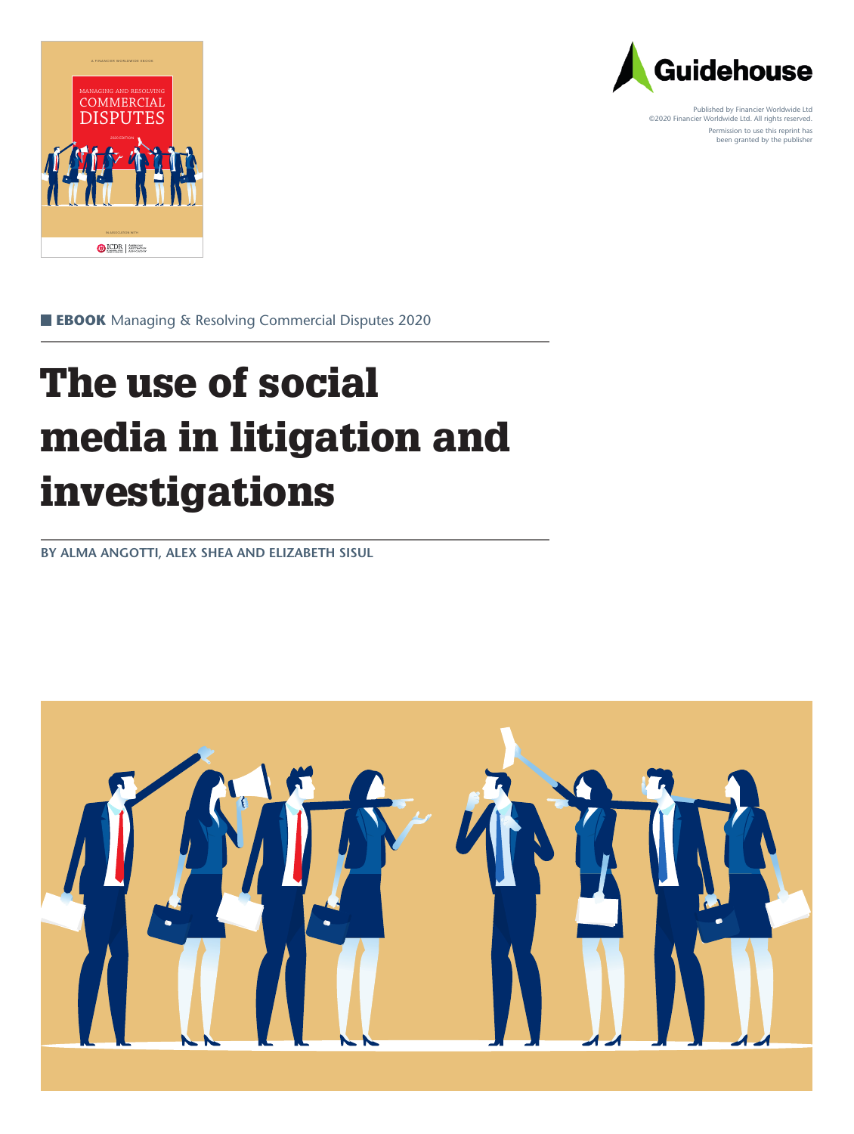



Published by Financier Worldwide Ltd ©2020 Financier Worldwide Ltd. All rights reserved. Permission to use this reprint has been granted by the publisher

 **EBOOK** Managing & Resolving Commercial Disputes 2020

## The use of social media in litigation and investigations

**BY ALMA ANGOTTI, ALEX SHEA AND ELIZABETH SISUL**

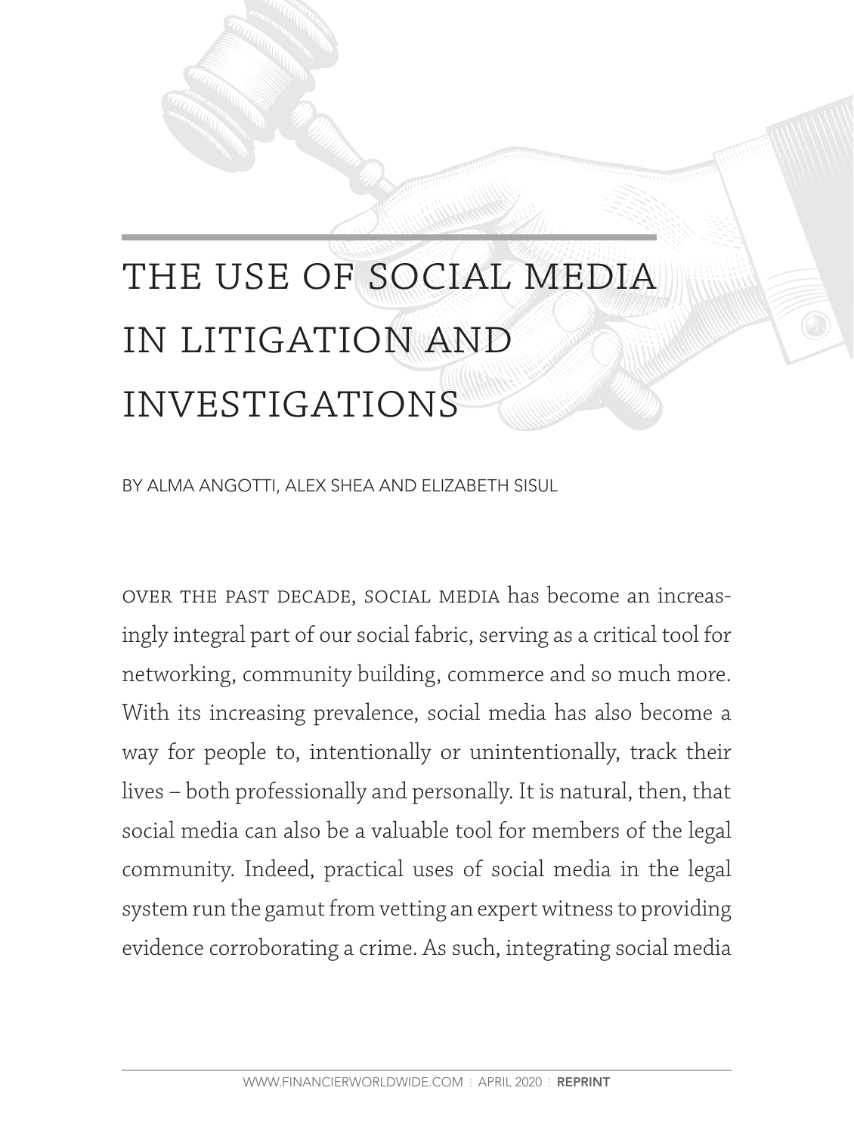# THE USE OF SOCIAL MEDIA in litigation and **INVESTIGATIONS**

BY ALMA ANGOTTI, ALEX SHEA AND ELIZABETH SISUL

over the past decade, social media has become an increasingly integral part of our social fabric, serving as a critical tool for networking, community building, commerce and so much more. With its increasing prevalence, social media has also become a way for people to, intentionally or unintentionally, track their lives – both professionally and personally. It is natural, then, that social media can also be a valuable tool for members of the legal community. Indeed, practical uses of social media in the legal system run the gamut from vetting an expert witness to providing evidence corroborating a crime. As such, integrating social media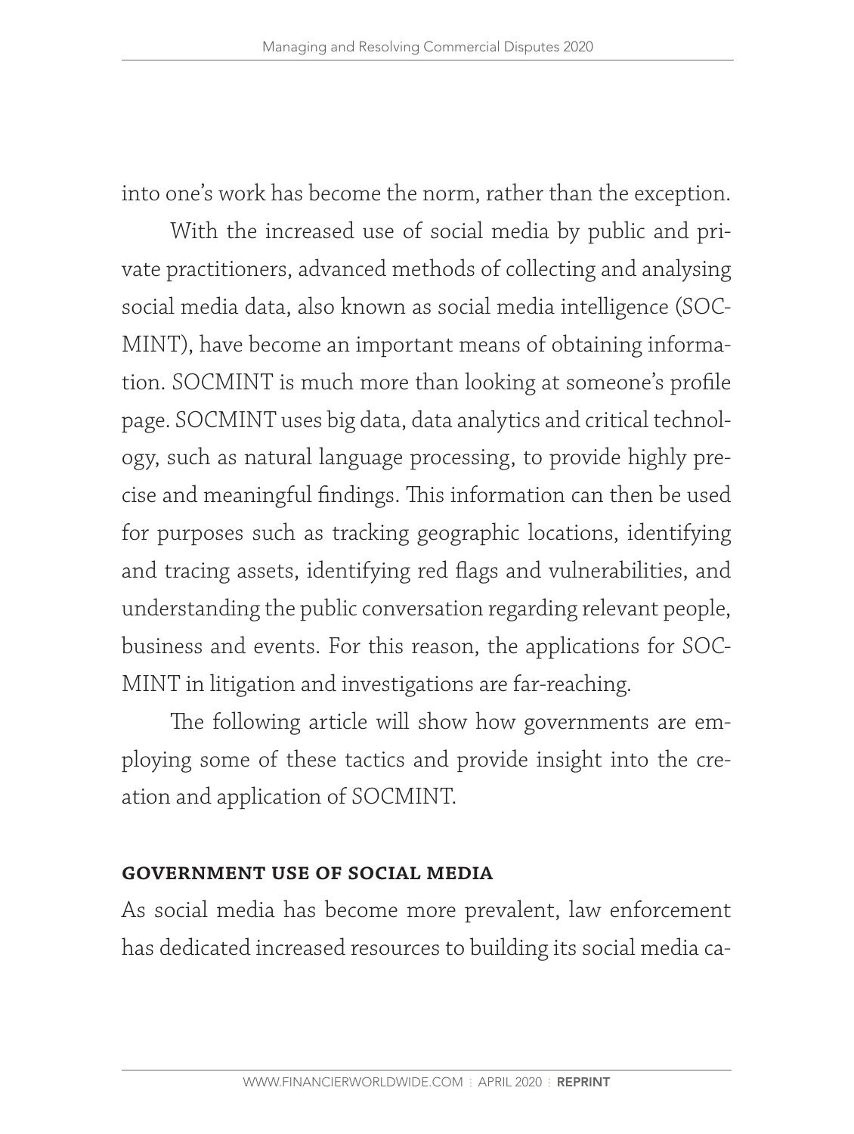into one's work has become the norm, rather than the exception.

With the increased use of social media by public and private practitioners, advanced methods of collecting and analysing social media data, also known as social media intelligence (SOC-MINT), have become an important means of obtaining information. SOCMINT is much more than looking at someone's profile page. SOCMINT uses big data, data analytics and critical technology, such as natural language processing, to provide highly precise and meaningful findings. This information can then be used for purposes such as tracking geographic locations, identifying and tracing assets, identifying red flags and vulnerabilities, and understanding the public conversation regarding relevant people, business and events. For this reason, the applications for SOC-MINT in litigation and investigations are far-reaching.

The following article will show how governments are employing some of these tactics and provide insight into the creation and application of SOCMINT.

#### **government use of social media**

As social media has become more prevalent, law enforcement has dedicated increased resources to building its social media ca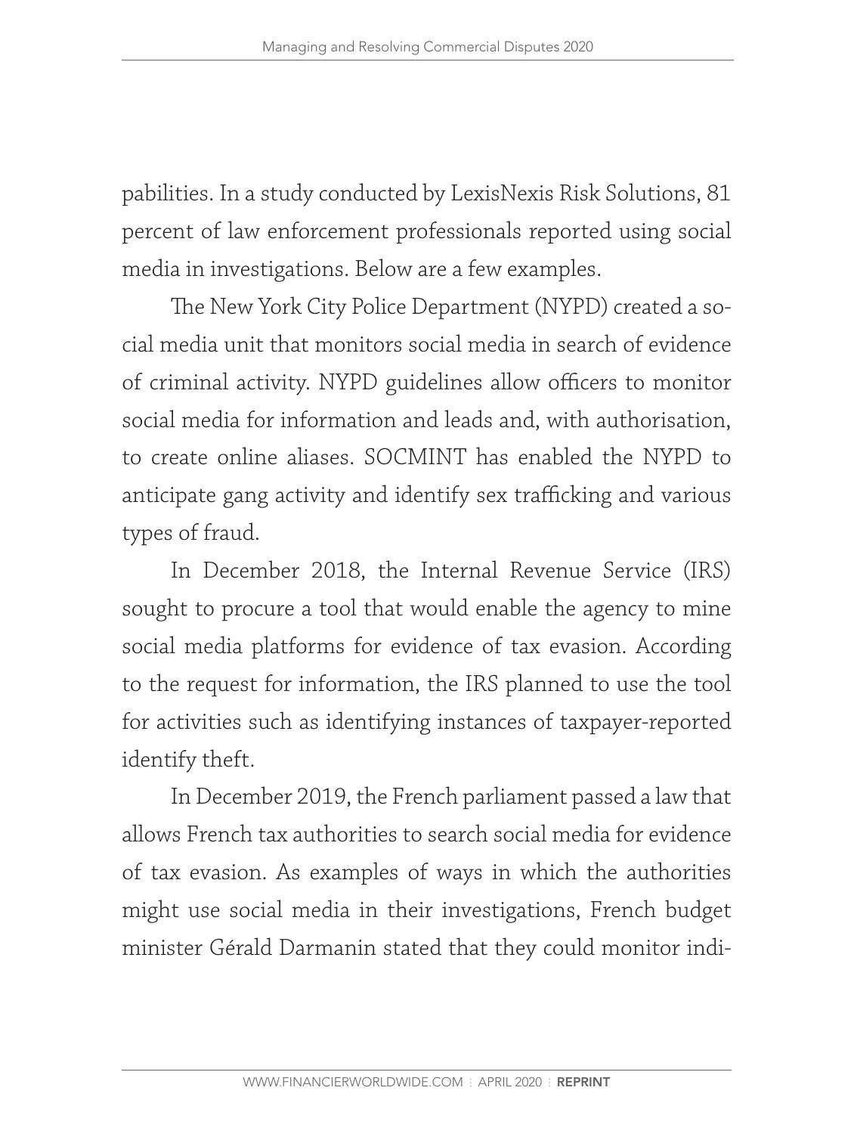pabilities. In a study conducted by LexisNexis Risk Solutions, 81 percent of law enforcement professionals reported using social media in investigations. Below are a few examples.

The New York City Police Department (NYPD) created a social media unit that monitors social media in search of evidence of criminal activity. NYPD guidelines allow officers to monitor social media for information and leads and, with authorisation, to create online aliases. SOCMINT has enabled the NYPD to anticipate gang activity and identify sex trafficking and various types of fraud.

In December 2018, the Internal Revenue Service (IRS) sought to procure a tool that would enable the agency to mine social media platforms for evidence of tax evasion. According to the request for information, the IRS planned to use the tool for activities such as identifying instances of taxpayer-reported identify theft.

In December 2019, the French parliament passed a law that allows French tax authorities to search social media for evidence of tax evasion. As examples of ways in which the authorities might use social media in their investigations, French budget minister Gérald Darmanin stated that they could monitor indi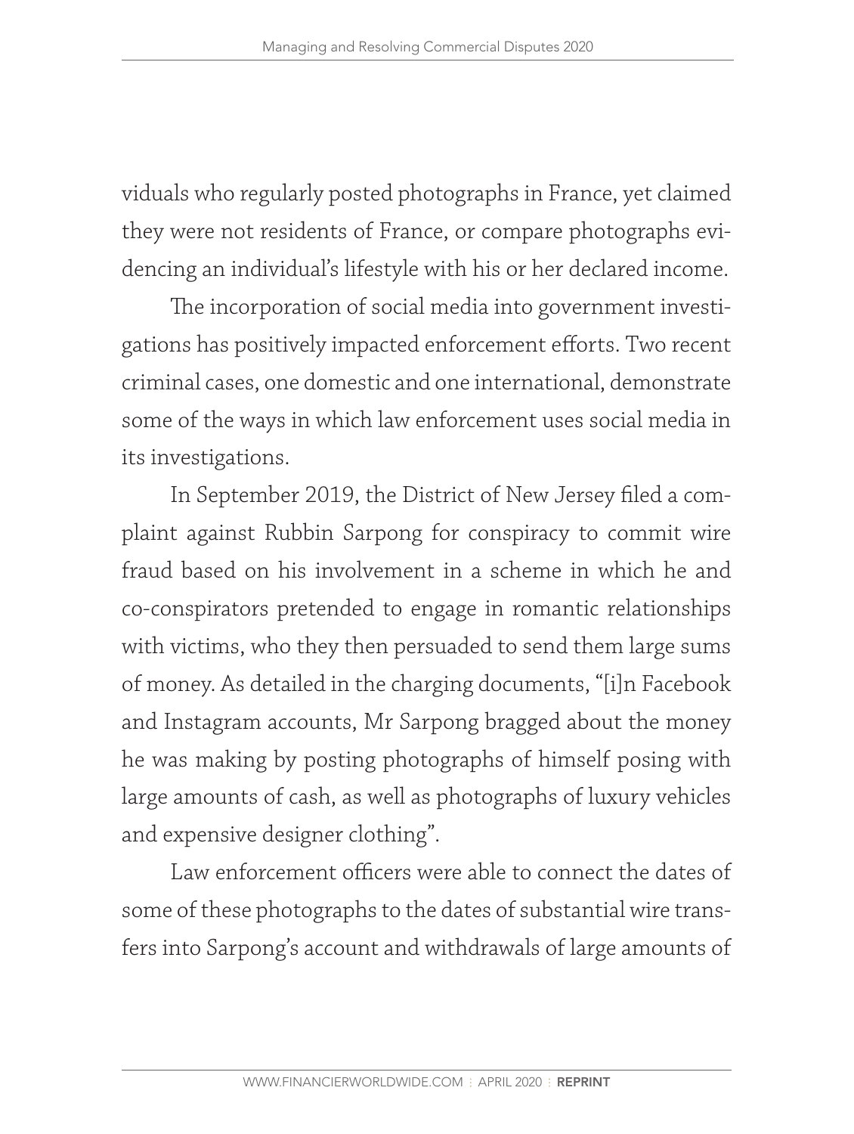viduals who regularly posted photographs in France, yet claimed they were not residents of France, or compare photographs evidencing an individual's lifestyle with his or her declared income.

The incorporation of social media into government investigations has positively impacted enforcement efforts. Two recent criminal cases, one domestic and one international, demonstrate some of the ways in which law enforcement uses social media in its investigations.

In September 2019, the District of New Jersey filed a complaint against Rubbin Sarpong for conspiracy to commit wire fraud based on his involvement in a scheme in which he and co-conspirators pretended to engage in romantic relationships with victims, who they then persuaded to send them large sums of money. As detailed in the charging documents, "[i]n Facebook and Instagram accounts, Mr Sarpong bragged about the money he was making by posting photographs of himself posing with large amounts of cash, as well as photographs of luxury vehicles and expensive designer clothing".

Law enforcement officers were able to connect the dates of some of these photographs to the dates of substantial wire transfers into Sarpong's account and withdrawals of large amounts of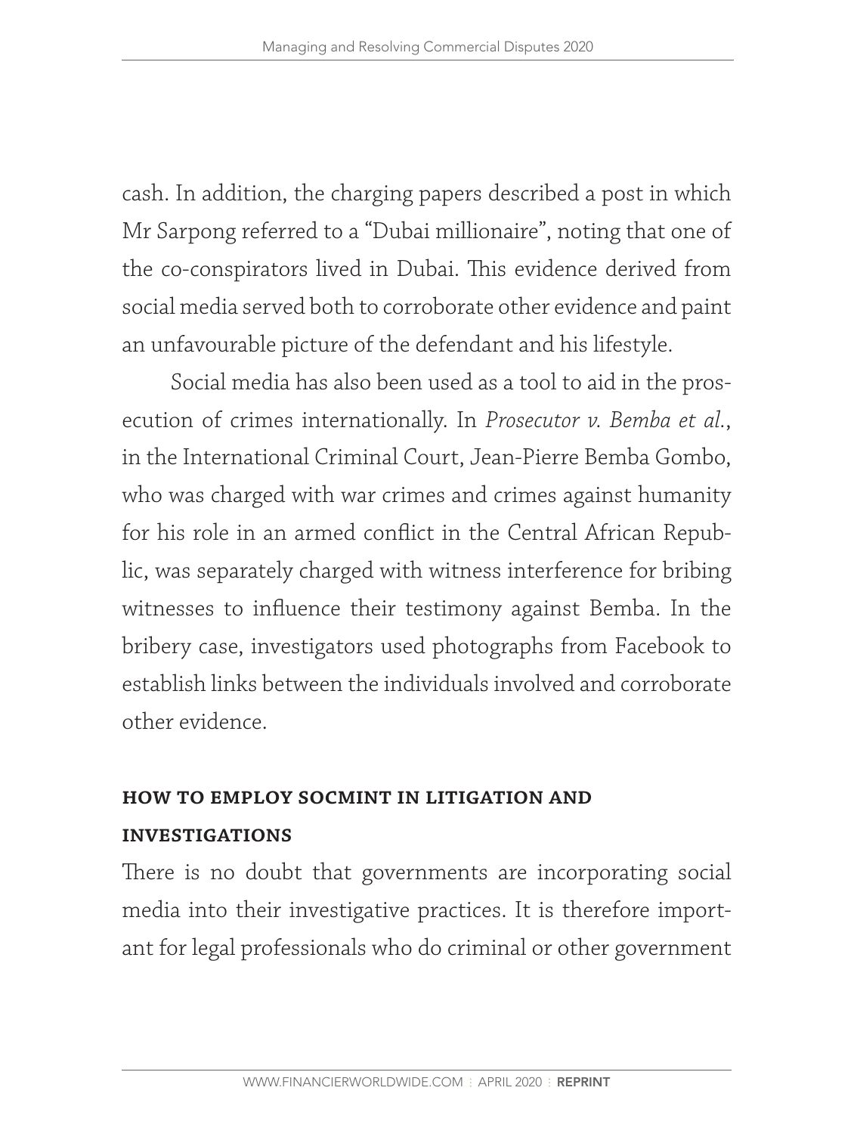cash. In addition, the charging papers described a post in which Mr Sarpong referred to a "Dubai millionaire", noting that one of the co-conspirators lived in Dubai. This evidence derived from social media served both to corroborate other evidence and paint an unfavourable picture of the defendant and his lifestyle.

Social media has also been used as a tool to aid in the prosecution of crimes internationally. In *Prosecutor v. Bemba et al.*, in the International Criminal Court, Jean-Pierre Bemba Gombo, who was charged with war crimes and crimes against humanity for his role in an armed conflict in the Central African Republic, was separately charged with witness interference for bribing witnesses to influence their testimony against Bemba. In the bribery case, investigators used photographs from Facebook to establish links between the individuals involved and corroborate other evidence.

#### **how to employ socmint in litigation and**

#### **investigations**

There is no doubt that governments are incorporating social media into their investigative practices. It is therefore important for legal professionals who do criminal or other government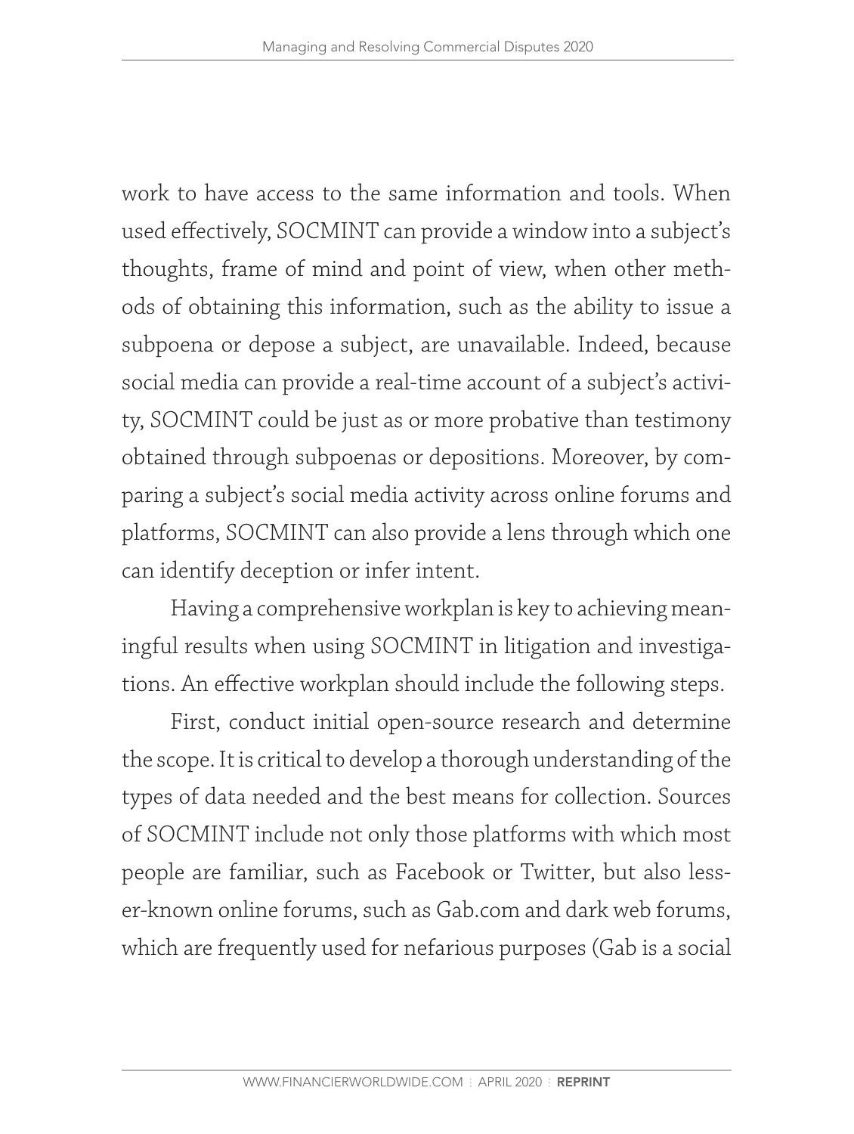work to have access to the same information and tools. When used effectively, SOCMINT can provide a window into a subject's thoughts, frame of mind and point of view, when other methods of obtaining this information, such as the ability to issue a subpoena or depose a subject, are unavailable. Indeed, because social media can provide a real-time account of a subject's activity, SOCMINT could be just as or more probative than testimony obtained through subpoenas or depositions. Moreover, by comparing a subject's social media activity across online forums and platforms, SOCMINT can also provide a lens through which one can identify deception or infer intent.

Having a comprehensive workplan is key to achieving meaningful results when using SOCMINT in litigation and investigations. An effective workplan should include the following steps.

First, conduct initial open-source research and determine the scope. It is critical to develop a thorough understanding of the types of data needed and the best means for collection. Sources of SOCMINT include not only those platforms with which most people are familiar, such as Facebook or Twitter, but also lesser-known online forums, such as Gab.com and dark web forums, which are frequently used for nefarious purposes (Gab is a social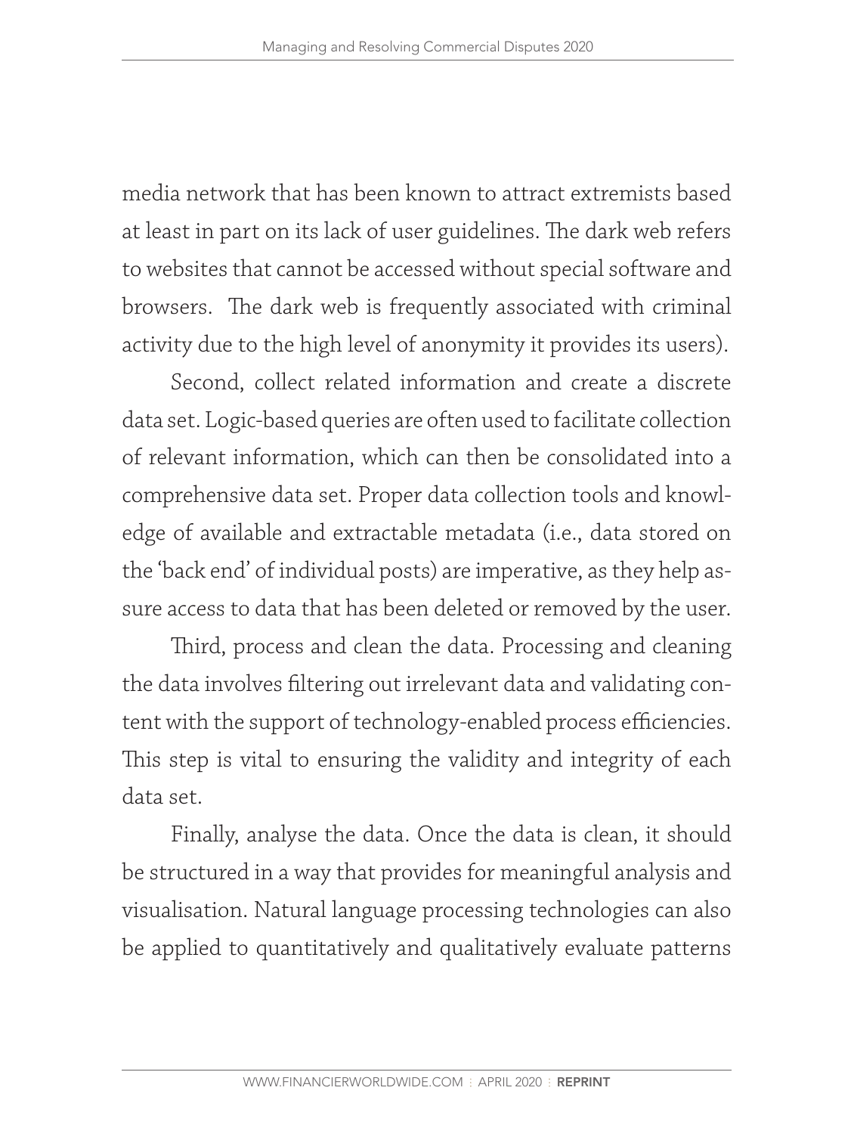media network that has been known to attract extremists based at least in part on its lack of user guidelines. The dark web refers to websites that cannot be accessed without special software and browsers. The dark web is frequently associated with criminal activity due to the high level of anonymity it provides its users).

Second, collect related information and create a discrete data set. Logic-based queries are often used to facilitate collection of relevant information, which can then be consolidated into a comprehensive data set. Proper data collection tools and knowledge of available and extractable metadata (i.e., data stored on the 'back end' of individual posts) are imperative, as they help assure access to data that has been deleted or removed by the user.

Third, process and clean the data. Processing and cleaning the data involves filtering out irrelevant data and validating content with the support of technology-enabled process efficiencies. This step is vital to ensuring the validity and integrity of each data set.

Finally, analyse the data. Once the data is clean, it should be structured in a way that provides for meaningful analysis and visualisation. Natural language processing technologies can also be applied to quantitatively and qualitatively evaluate patterns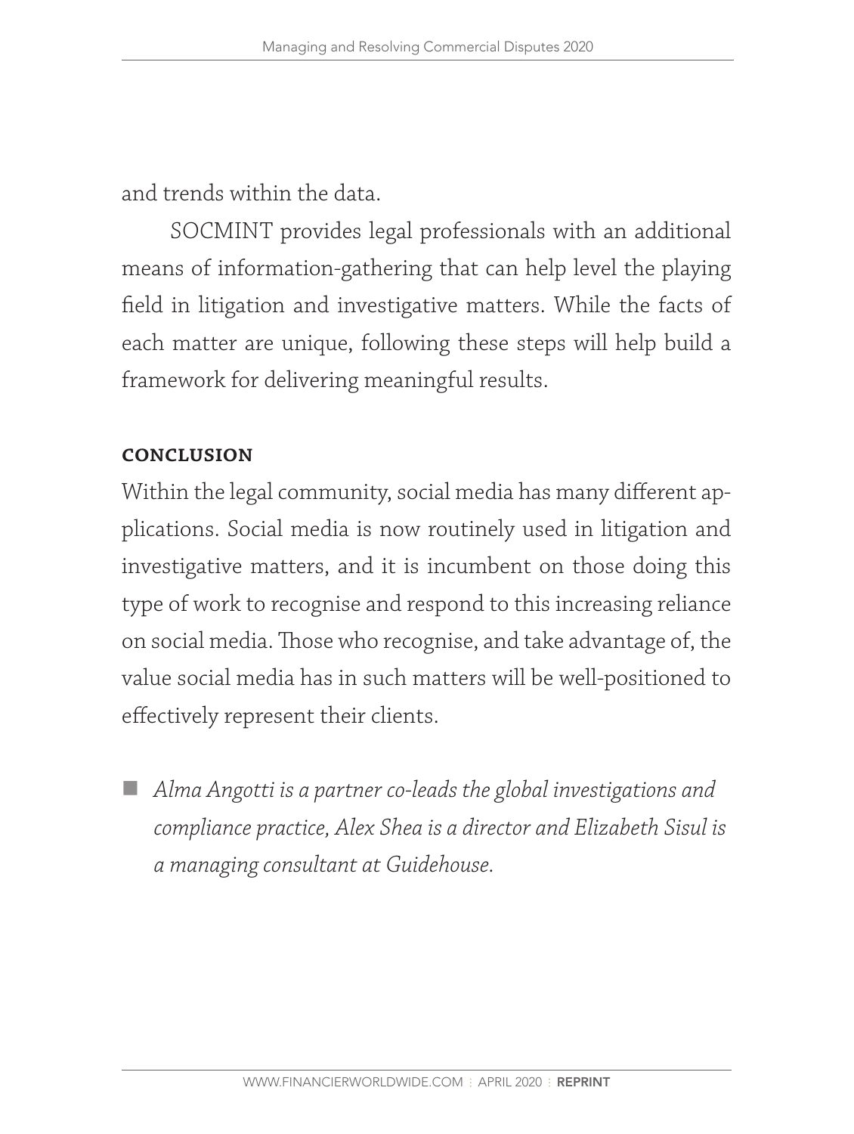and trends within the data.

SOCMINT provides legal professionals with an additional means of information-gathering that can help level the playing field in litigation and investigative matters. While the facts of each matter are unique, following these steps will help build a framework for delivering meaningful results.

### **conclusion**

Within the legal community, social media has many different applications. Social media is now routinely used in litigation and investigative matters, and it is incumbent on those doing this type of work to recognise and respond to this increasing reliance on social media. Those who recognise, and take advantage of, the value social media has in such matters will be well-positioned to effectively represent their clients.

 *Alma Angotti is a partner co-leads the global investigations and compliance practice, Alex Shea is a director and Elizabeth Sisul is a managing consultant at Guidehouse.*